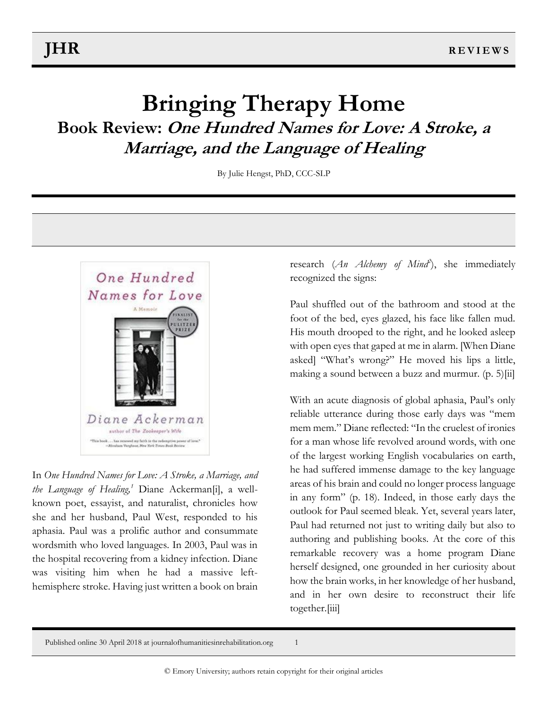# **Bringing Therapy Home Book Review: One Hundred Names for Love: A Stroke, a Marriage, and the Language of Healing**

By Julie Hengst, PhD, CCC-SLP



In *One Hundred Names for Love: A Stroke, a Marriage, and the Language of Healing,<sup>1</sup>* Diane Ackerma[n\[i\],](#page-6-0) a wellknown poet, essayist, and naturalist, chronicles how she and her husband, Paul West, responded to his aphasia. Paul was a prolific author and consummate wordsmith who loved languages. In 2003, Paul was in the hospital recovering from a kidney infection. Diane was visiting him when he had a massive lefthemisphere stroke. Having just written a book on brain

research (*An Alchemy of Mind<sup>2</sup>* ), she immediately recognized the signs:

Paul shuffled out of the bathroom and stood at the foot of the bed, eyes glazed, his face like fallen mud. His mouth drooped to the right, and he looked asleep with open eyes that gaped at me in alarm. [When Diane asked] "What's wrong?" He moved his lips a little, making a sound between a buzz and murmur. (p. 5[\)\[ii\]](#page-6-1)

<span id="page-0-1"></span><span id="page-0-0"></span>With an acute diagnosis of global aphasia, Paul's only reliable utterance during those early days was "mem mem mem." Diane reflected: "In the cruelest of ironies for a man whose life revolved around words, with one of the largest working English vocabularies on earth, he had suffered immense damage to the key language areas of his brain and could no longer process language in any form" (p. 18). Indeed, in those early days the outlook for Paul seemed bleak. Yet, several years later, Paul had returned not just to writing daily but also to authoring and publishing books. At the core of this remarkable recovery was a home program Diane herself designed, one grounded in her curiosity about how the brain works, in her knowledge of her husband, and in her own desire to reconstruct their life together[.\[iii\]](#page-6-2)

Published online 30 April 2018 at journalofhumanitiesinrehabilitation.org 1

<span id="page-0-2"></span>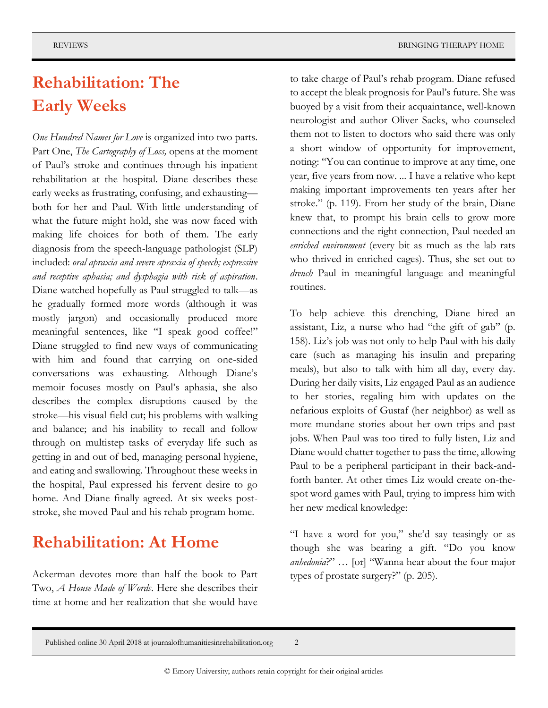# **Rehabilitation: The Early Weeks**

*One Hundred Names for Love* is organized into two parts. Part One, *The Cartography of Loss,* opens at the moment of Paul's stroke and continues through his inpatient rehabilitation at the hospital. Diane describes these early weeks as frustrating, confusing, and exhausting both for her and Paul. With little understanding of what the future might hold, she was now faced with making life choices for both of them. The early diagnosis from the speech-language pathologist (SLP) included: *oral apraxia and severe apraxia of speech; expressive and receptive aphasia; and dysphagia with risk of aspiration*. Diane watched hopefully as Paul struggled to talk—as he gradually formed more words (although it was mostly jargon) and occasionally produced more meaningful sentences, like "I speak good coffee!" Diane struggled to find new ways of communicating with him and found that carrying on one-sided conversations was exhausting. Although Diane's memoir focuses mostly on Paul's aphasia, she also describes the complex disruptions caused by the stroke—his visual field cut; his problems with walking and balance; and his inability to recall and follow through on multistep tasks of everyday life such as getting in and out of bed, managing personal hygiene, and eating and swallowing. Throughout these weeks in the hospital, Paul expressed his fervent desire to go home. And Diane finally agreed. At six weeks poststroke, she moved Paul and his rehab program home.

### **Rehabilitation: At Home**

Ackerman devotes more than half the book to Part Two, *A House Made of Words*. Here she describes their time at home and her realization that she would have to take charge of Paul's rehab program. Diane refused to accept the bleak prognosis for Paul's future. She was buoyed by a visit from their acquaintance, well-known neurologist and author Oliver Sacks, who counseled them not to listen to doctors who said there was only a short window of opportunity for improvement, noting: "You can continue to improve at any time, one year, five years from now. ... I have a relative who kept making important improvements ten years after her stroke." (p. 119). From her study of the brain, Diane knew that, to prompt his brain cells to grow more connections and the right connection, Paul needed an *enriched environment* (every bit as much as the lab rats who thrived in enriched cages). Thus, she set out to *drench* Paul in meaningful language and meaningful routines.

To help achieve this drenching, Diane hired an assistant, Liz, a nurse who had "the gift of gab" (p. 158). Liz's job was not only to help Paul with his daily care (such as managing his insulin and preparing meals), but also to talk with him all day, every day. During her daily visits, Liz engaged Paul as an audience to her stories, regaling him with updates on the nefarious exploits of Gustaf (her neighbor) as well as more mundane stories about her own trips and past jobs. When Paul was too tired to fully listen, Liz and Diane would chatter together to pass the time, allowing Paul to be a peripheral participant in their back-andforth banter. At other times Liz would create on-thespot word games with Paul, trying to impress him with her new medical knowledge:

"I have a word for you," she'd say teasingly or as though she was bearing a gift. "Do you know *anhedonia*?" … [or] "Wanna hear about the four major types of prostate surgery?" (p. 205).

Published online 30 April 2018 at journalofhumanitiesinrehabilitation.org 2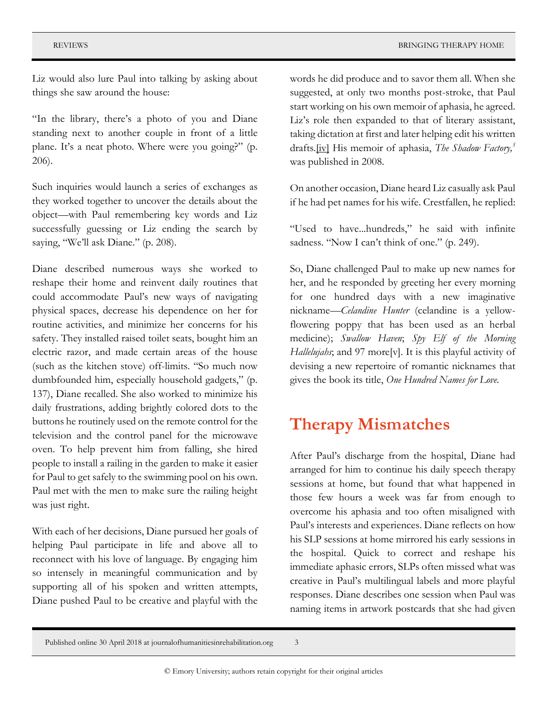Liz would also lure Paul into talking by asking about things she saw around the house:

"In the library, there's a photo of you and Diane standing next to another couple in front of a little plane. It's a neat photo. Where were you going?" (p. 206).

Such inquiries would launch a series of exchanges as they worked together to uncover the details about the object—with Paul remembering key words and Liz successfully guessing or Liz ending the search by saying, "We'll ask Diane." (p. 208).

Diane described numerous ways she worked to reshape their home and reinvent daily routines that could accommodate Paul's new ways of navigating physical spaces, decrease his dependence on her for routine activities, and minimize her concerns for his safety. They installed raised toilet seats, bought him an electric razor, and made certain areas of the house (such as the kitchen stove) off-limits. "So much now dumbfounded him, especially household gadgets," (p. 137), Diane recalled. She also worked to minimize his daily frustrations, adding brightly colored dots to the buttons he routinely used on the remote control for the television and the control panel for the microwave oven. To help prevent him from falling, she hired people to install a railing in the garden to make it easier for Paul to get safely to the swimming pool on his own. Paul met with the men to make sure the railing height was just right.

With each of her decisions, Diane pursued her goals of helping Paul participate in life and above all to reconnect with his love of language. By engaging him so intensely in meaningful communication and by supporting all of his spoken and written attempts, Diane pushed Paul to be creative and playful with the

words he did produce and to savor them all. When she suggested, at only two months post-stroke, that Paul start working on his own memoir of aphasia, he agreed. Liz's role then expanded to that of literary assistant, taking dictation at first and later helping edit his written drafts[.\[iv\]](#page-6-3) His memoir of aphasia, *The Shadow Factory,<sup>5</sup>* was published in 2008.

<span id="page-2-0"></span>On another occasion, Diane heard Liz casually ask Paul if he had pet names for his wife. Crestfallen, he replied:

"Used to have...hundreds," he said with infinite sadness. "Now I can't think of one." (p. 249).

So, Diane challenged Paul to make up new names for her, and he responded by greeting her every morning for one hundred days with a new imaginative nickname—*Celandine Hunter* (celandine is a yellowflowering poppy that has been used as an herbal medicine); *Swallow Haven*; *Spy Elf of the Morning Hallelujahs*; and 97 mor[e\[v\].](#page-6-4) It is this playful activity of devising a new repertoire of romantic nicknames that gives the book its title, *One Hundred Names for Love.*

## <span id="page-2-1"></span>**Therapy Mismatches**

After Paul's discharge from the hospital, Diane had arranged for him to continue his daily speech therapy sessions at home, but found that what happened in those few hours a week was far from enough to overcome his aphasia and too often misaligned with Paul's interests and experiences. Diane reflects on how his SLP sessions at home mirrored his early sessions in the hospital. Quick to correct and reshape his immediate aphasic errors, SLPs often missed what was creative in Paul's multilingual labels and more playful responses. Diane describes one session when Paul was naming items in artwork postcards that she had given

Published online 30 April 2018 at journalofhumanitiesinrehabilitation.org 3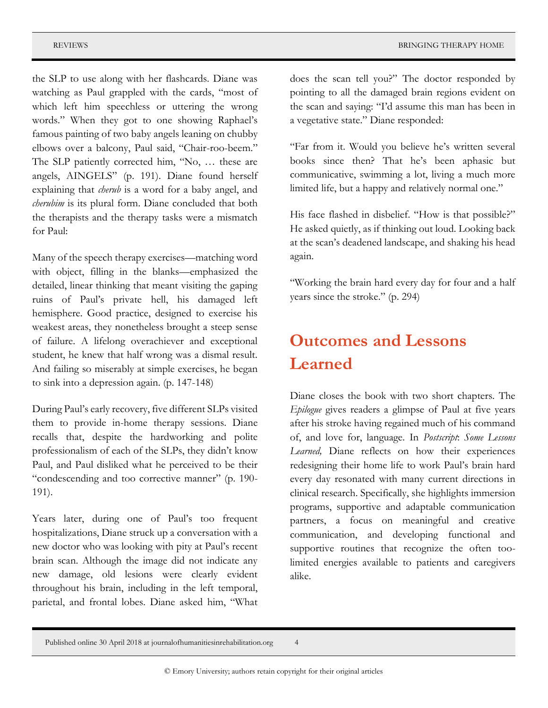the SLP to use along with her flashcards. Diane was watching as Paul grappled with the cards, "most of which left him speechless or uttering the wrong words." When they got to one showing Raphael's famous painting of two baby angels leaning on chubby elbows over a balcony, Paul said, "Chair-roo-beem." The SLP patiently corrected him, "No, … these are angels, AINGELS" (p. 191). Diane found herself explaining that *cherub* is a word for a baby angel, and *cherubim* is its plural form. Diane concluded that both the therapists and the therapy tasks were a mismatch for Paul:

Many of the speech therapy exercises—matching word with object, filling in the blanks—emphasized the detailed, linear thinking that meant visiting the gaping ruins of Paul's private hell, his damaged left hemisphere. Good practice, designed to exercise his weakest areas, they nonetheless brought a steep sense of failure. A lifelong overachiever and exceptional student, he knew that half wrong was a dismal result. And failing so miserably at simple exercises, he began to sink into a depression again. (p. 147-148)

During Paul's early recovery, five different SLPs visited them to provide in-home therapy sessions. Diane recalls that, despite the hardworking and polite professionalism of each of the SLPs, they didn't know Paul, and Paul disliked what he perceived to be their "condescending and too corrective manner" (p. 190- 191).

Years later, during one of Paul's too frequent hospitalizations, Diane struck up a conversation with a new doctor who was looking with pity at Paul's recent brain scan. Although the image did not indicate any new damage, old lesions were clearly evident throughout his brain, including in the left temporal, parietal, and frontal lobes. Diane asked him, "What does the scan tell you?" The doctor responded by pointing to all the damaged brain regions evident on the scan and saying: "I'd assume this man has been in a vegetative state." Diane responded:

"Far from it. Would you believe he's written several books since then? That he's been aphasic but communicative, swimming a lot, living a much more limited life, but a happy and relatively normal one."

His face flashed in disbelief. "How is that possible?" He asked quietly, as if thinking out loud. Looking back at the scan's deadened landscape, and shaking his head again.

"Working the brain hard every day for four and a half years since the stroke." (p. 294)

# **Outcomes and Lessons Learned**

Diane closes the book with two short chapters. The *Epilogue* gives readers a glimpse of Paul at five years after his stroke having regained much of his command of, and love for, language. In *Postscript*: *Some Lessons Learned,* Diane reflects on how their experiences redesigning their home life to work Paul's brain hard every day resonated with many current directions in clinical research. Specifically, she highlights immersion programs, supportive and adaptable communication partners, a focus on meaningful and creative communication, and developing functional and supportive routines that recognize the often toolimited energies available to patients and caregivers alike.

Published online 30 April 2018 at journalofhumanitiesinrehabilitation.org 4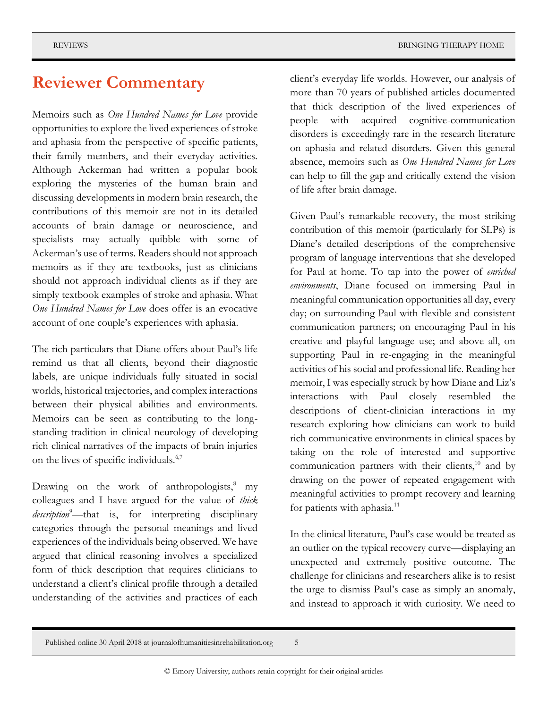#### **Reviewer Commentary**

Memoirs such as *One Hundred Names for Love* provide opportunities to explore the lived experiences of stroke and aphasia from the perspective of specific patients, their family members, and their everyday activities. Although Ackerman had written a popular book exploring the mysteries of the human brain and discussing developments in modern brain research, the contributions of this memoir are not in its detailed accounts of brain damage or neuroscience, and specialists may actually quibble with some of Ackerman's use of terms. Readers should not approach memoirs as if they are textbooks, just as clinicians should not approach individual clients as if they are simply textbook examples of stroke and aphasia. What *One Hundred Names for Love* does offer is an evocative account of one couple's experiences with aphasia.

The rich particulars that Diane offers about Paul's life remind us that all clients, beyond their diagnostic labels, are unique individuals fully situated in social worlds, historical trajectories, and complex interactions between their physical abilities and environments. Memoirs can be seen as contributing to the longstanding tradition in clinical neurology of developing rich clinical narratives of the impacts of brain injuries on the lives of specific individuals.<sup>6,7</sup>

Drawing on the work of anthropologists,<sup>8</sup> my colleagues and I have argued for the value of *thick description*<sup>9</sup>—that is, for interpreting disciplinary categories through the personal meanings and lived experiences of the individuals being observed. We have argued that clinical reasoning involves a specialized form of thick description that requires clinicians to understand a client's clinical profile through a detailed understanding of the activities and practices of each

client's everyday life worlds. However, our analysis of more than 70 years of published articles documented that thick description of the lived experiences of people with acquired cognitive-communication disorders is exceedingly rare in the research literature on aphasia and related disorders. Given this general absence, memoirs such as *One Hundred Names for Love* can help to fill the gap and critically extend the vision of life after brain damage.

Given Paul's remarkable recovery, the most striking contribution of this memoir (particularly for SLPs) is Diane's detailed descriptions of the comprehensive program of language interventions that she developed for Paul at home. To tap into the power of *enriched environments*, Diane focused on immersing Paul in meaningful communication opportunities all day, every day; on surrounding Paul with flexible and consistent communication partners; on encouraging Paul in his creative and playful language use; and above all, on supporting Paul in re-engaging in the meaningful activities of his social and professional life. Reading her memoir, I was especially struck by how Diane and Liz's interactions with Paul closely resembled the descriptions of client-clinician interactions in my research exploring how clinicians can work to build rich communicative environments in clinical spaces by taking on the role of interested and supportive communication partners with their clients, $^{10}$  and by drawing on the power of repeated engagement with meaningful activities to prompt recovery and learning for patients with aphasia.<sup>11</sup>

In the clinical literature, Paul's case would be treated as an outlier on the typical recovery curve—displaying an unexpected and extremely positive outcome. The challenge for clinicians and researchers alike is to resist the urge to dismiss Paul's case as simply an anomaly, and instead to approach it with curiosity. We need to

Published online 30 April 2018 at journalofhumanitiesinrehabilitation.org 5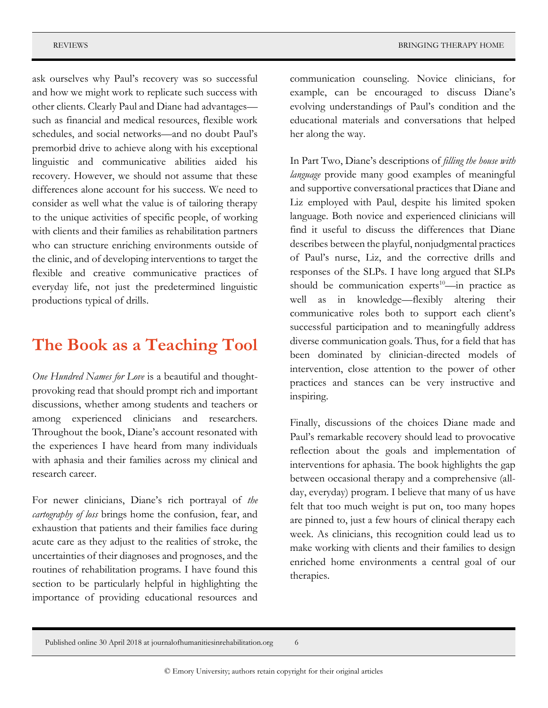ask ourselves why Paul's recovery was so successful and how we might work to replicate such success with other clients. Clearly Paul and Diane had advantages such as financial and medical resources, flexible work schedules, and social networks—and no doubt Paul's premorbid drive to achieve along with his exceptional linguistic and communicative abilities aided his recovery. However, we should not assume that these differences alone account for his success. We need to consider as well what the value is of tailoring therapy to the unique activities of specific people, of working with clients and their families as rehabilitation partners who can structure enriching environments outside of the clinic, and of developing interventions to target the flexible and creative communicative practices of everyday life, not just the predetermined linguistic productions typical of drills.

### **The Book as a Teaching Tool**

*One Hundred Names for Love* is a beautiful and thoughtprovoking read that should prompt rich and important discussions, whether among students and teachers or among experienced clinicians and researchers. Throughout the book, Diane's account resonated with the experiences I have heard from many individuals with aphasia and their families across my clinical and research career.

For newer clinicians, Diane's rich portrayal of *the cartography of loss* brings home the confusion, fear, and exhaustion that patients and their families face during acute care as they adjust to the realities of stroke, the uncertainties of their diagnoses and prognoses, and the routines of rehabilitation programs. I have found this section to be particularly helpful in highlighting the importance of providing educational resources and

communication counseling. Novice clinicians, for example, can be encouraged to discuss Diane's evolving understandings of Paul's condition and the educational materials and conversations that helped her along the way.

In Part Two, Diane's descriptions of *filling the house with language* provide many good examples of meaningful and supportive conversational practices that Diane and Liz employed with Paul, despite his limited spoken language. Both novice and experienced clinicians will find it useful to discuss the differences that Diane describes between the playful, nonjudgmental practices of Paul's nurse, Liz, and the corrective drills and responses of the SLPs. I have long argued that SLPs should be communication experts<sup>10</sup>—in practice as well as in knowledge—flexibly altering their communicative roles both to support each client's successful participation and to meaningfully address diverse communication goals. Thus, for a field that has been dominated by clinician-directed models of intervention, close attention to the power of other practices and stances can be very instructive and inspiring.

Finally, discussions of the choices Diane made and Paul's remarkable recovery should lead to provocative reflection about the goals and implementation of interventions for aphasia. The book highlights the gap between occasional therapy and a comprehensive (allday, everyday) program. I believe that many of us have felt that too much weight is put on, too many hopes are pinned to, just a few hours of clinical therapy each week. As clinicians, this recognition could lead us to make working with clients and their families to design enriched home environments a central goal of our therapies.

Published online 30 April 2018 at journalofhumanitiesinrehabilitation.org 6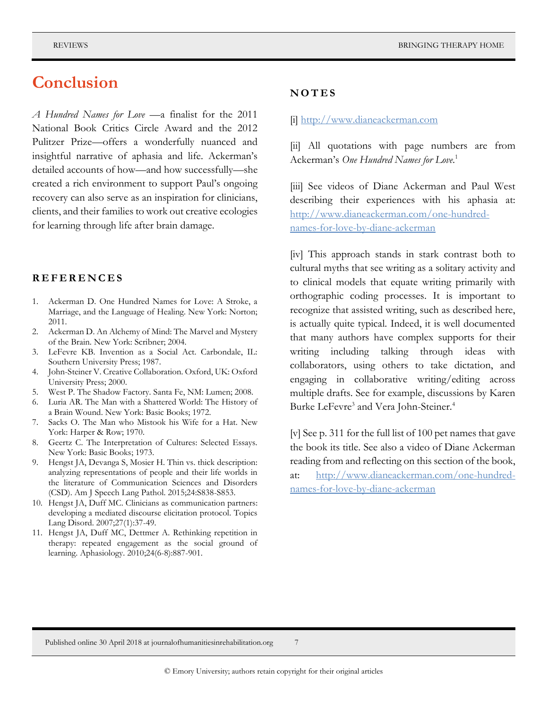#### **Conclusion**

*A Hundred Names for Love —*a finalist for the 2011 National Book Critics Circle Award and the 2012 Pulitzer Prize—offers a wonderfully nuanced and insightful narrative of aphasia and life. Ackerman's detailed accounts of how—and how successfully—she created a rich environment to support Paul's ongoing recovery can also serve as an inspiration for clinicians, clients, and their families to work out creative ecologies for learning through life after brain damage.

#### **R E F E R E N C E S**

- 1. Ackerman D. One Hundred Names for Love: A Stroke, a Marriage, and the Language of Healing. New York: Norton; 2011.
- 2. Ackerman D. An Alchemy of Mind: The Marvel and Mystery of the Brain. New York: Scribner; 2004.
- 3. LeFevre KB. Invention as a Social Act. Carbondale, IL: Southern University Press; 1987.
- 4. John-Steiner V. Creative Collaboration. Oxford, UK: Oxford University Press; 2000.
- 5. West P. The Shadow Factory. Santa Fe, NM: Lumen; 2008.
- 6. Luria AR. The Man with a Shattered World: The History of a Brain Wound. New York: Basic Books; 1972.
- 7. Sacks O. The Man who Mistook his Wife for a Hat. New York: Harper & Row; 1970.
- 8. Geertz C. The Interpretation of Cultures: Selected Essays. New York: Basic Books; 1973.
- 9. Hengst JA, Devanga S, Mosier H. Thin vs. thick description: analyzing representations of people and their life worlds in the literature of Communication Sciences and Disorders (CSD). Am J Speech Lang Pathol. 2015;24:S838-S853.
- 10. Hengst JA, Duff MC. Clinicians as communication partners: developing a mediated discourse elicitation protocol. Topics Lang Disord. 2007;27(1):37-49.
- 11. Hengst JA, Duff MC, Dettmer A. Rethinking repetition in therapy: repeated engagement as the social ground of learning. Aphasiology. 2010;24(6-8):887-901.

#### **N O T E S**

<span id="page-6-0"></span>[\[i\]](#page-0-0) [http://www.dianeackerman.com](http://www.dianeackerman.com/)

<span id="page-6-1"></span>[\[ii\]](#page-0-1) All quotations with page numbers are from Ackerman's *One Hundred Names for Love*. 1

<span id="page-6-2"></span>[\[iii\]](#page-0-2) See videos of Diane Ackerman and Paul West describing their experiences with his aphasia at: [http://www.dianeackerman.com/one-hundred](http://www.dianeackerman.com/one-hundred-names-for-love-by-diane-ackerman)[names-for-love-by-diane-ackerman](http://www.dianeackerman.com/one-hundred-names-for-love-by-diane-ackerman)

<span id="page-6-3"></span>[\[iv\]](#page-2-0) This approach stands in stark contrast both to cultural myths that see writing as a solitary activity and to clinical models that equate writing primarily with orthographic coding processes. It is important to recognize that assisted writing, such as described here, is actually quite typical. Indeed, it is well documented that many authors have complex supports for their writing including talking through ideas with collaborators, using others to take dictation, and engaging in collaborative writing/editing across multiple drafts. See for example, discussions by Karen Burke LeFevre<sup>3</sup> and Vera John-Steiner.<sup>4</sup>

<span id="page-6-4"></span>[\[v\]](#page-2-1) See p. 311 for the full list of 100 pet names that gave the book its title. See also a video of Diane Ackerman reading from and reflecting on this section of the book, at: [http://www.dianeackerman.com/one-hundred](http://www.dianeackerman.com/one-hundred-names-for-love-by-diane-ackerman)[names-for-love-by-diane-ackerman](http://www.dianeackerman.com/one-hundred-names-for-love-by-diane-ackerman)

Published online 30 April 2018 at journalofhumanitiesinrehabilitation.org 7